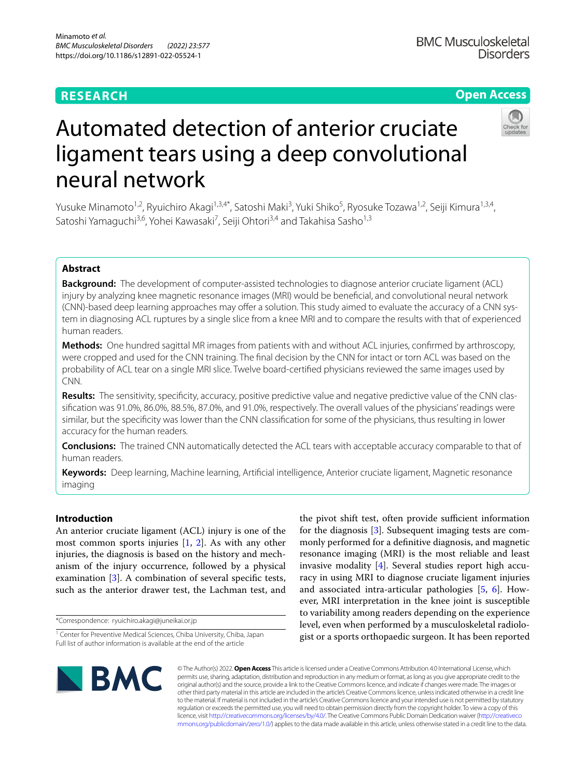# **RESEARCH**

## **Open Access**



# Automated detection of anterior cruciate ligament tears using a deep convolutional neural network

Yusuke Minamoto<sup>1,2</sup>, Ryuichiro Akagi<sup>1,3,4\*</sup>, Satoshi Maki<sup>3</sup>, Yuki Shiko<sup>5</sup>, Ryosuke Tozawa<sup>1,2</sup>, Seiji Kimura<sup>1,3,4</sup>, Satoshi Yamaguchi<sup>3,6</sup>, Yohei Kawasaki<sup>7</sup>, Seiji Ohtori<sup>3,4</sup> and Takahisa Sasho<sup>1,3</sup>

## **Abstract**

**Background:** The development of computer-assisted technologies to diagnose anterior cruciate ligament (ACL) injury by analyzing knee magnetic resonance images (MRI) would be benefcial, and convolutional neural network (CNN)-based deep learning approaches may offer a solution. This study aimed to evaluate the accuracy of a CNN system in diagnosing ACL ruptures by a single slice from a knee MRI and to compare the results with that of experienced human readers.

**Methods:** One hundred sagittal MR images from patients with and without ACL injuries, confrmed by arthroscopy, were cropped and used for the CNN training. The fnal decision by the CNN for intact or torn ACL was based on the probability of ACL tear on a single MRI slice. Twelve board-certifed physicians reviewed the same images used by CNN.

**Results:** The sensitivity, specifcity, accuracy, positive predictive value and negative predictive value of the CNN classifcation was 91.0%, 86.0%, 88.5%, 87.0%, and 91.0%, respectively. The overall values of the physicians' readings were similar, but the specifcity was lower than the CNN classifcation for some of the physicians, thus resulting in lower accuracy for the human readers.

**Conclusions:** The trained CNN automatically detected the ACL tears with acceptable accuracy comparable to that of human readers.

**Keywords:** Deep learning, Machine learning, Artifcial intelligence, Anterior cruciate ligament, Magnetic resonance imaging

## **Introduction**

An anterior cruciate ligament (ACL) injury is one of the most common sports injuries [\[1](#page-5-0), [2](#page-5-1)]. As with any other injuries, the diagnosis is based on the history and mechanism of the injury occurrence, followed by a physical examination [[3\]](#page-5-2). A combination of several specifc tests, such as the anterior drawer test, the Lachman test, and

\*Correspondence: ryuichiro.akagi@juneikai.or.jp

the pivot shift test, often provide sufficient information for the diagnosis [\[3\]](#page-5-2). Subsequent imaging tests are commonly performed for a defnitive diagnosis, and magnetic resonance imaging (MRI) is the most reliable and least invasive modality [[4](#page-5-3)]. Several studies report high accuracy in using MRI to diagnose cruciate ligament injuries and associated intra-articular pathologies [[5](#page-5-4), [6](#page-5-5)]. However, MRI interpretation in the knee joint is susceptible to variability among readers depending on the experience level, even when performed by a musculoskeletal radiologist or a sports orthopaedic surgeon. It has been reported



© The Author(s) 2022. **Open Access** This article is licensed under a Creative Commons Attribution 4.0 International License, which permits use, sharing, adaptation, distribution and reproduction in any medium or format, as long as you give appropriate credit to the original author(s) and the source, provide a link to the Creative Commons licence, and indicate if changes were made. The images or other third party material in this article are included in the article's Creative Commons licence, unless indicated otherwise in a credit line to the material. If material is not included in the article's Creative Commons licence and your intended use is not permitted by statutory regulation or exceeds the permitted use, you will need to obtain permission directly from the copyright holder. To view a copy of this licence, visit [http://creativecommons.org/licenses/by/4.0/.](http://creativecommons.org/licenses/by/4.0/) The Creative Commons Public Domain Dedication waiver ([http://creativeco](http://creativecommons.org/publicdomain/zero/1.0/) [mmons.org/publicdomain/zero/1.0/](http://creativecommons.org/publicdomain/zero/1.0/)) applies to the data made available in this article, unless otherwise stated in a credit line to the data.

<sup>&</sup>lt;sup>1</sup> Center for Preventive Medical Sciences, Chiba University, Chiba, Japan Full list of author information is available at the end of the article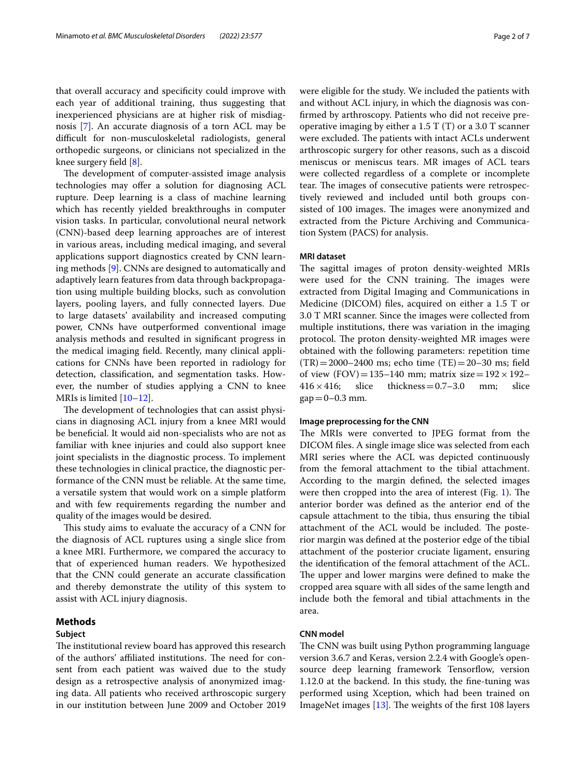that overall accuracy and specifcity could improve with each year of additional training, thus suggesting that inexperienced physicians are at higher risk of misdiagnosis [[7\]](#page-5-6). An accurate diagnosis of a torn ACL may be difficult for non-musculoskeletal radiologists, general orthopedic surgeons, or clinicians not specialized in the knee surgery feld [\[8](#page-5-7)].

The development of computer-assisted image analysis technologies may offer a solution for diagnosing ACL rupture. Deep learning is a class of machine learning which has recently yielded breakthroughs in computer vision tasks. In particular, convolutional neural network (CNN)-based deep learning approaches are of interest in various areas, including medical imaging, and several applications support diagnostics created by CNN learning methods [\[9\]](#page-5-8). CNNs are designed to automatically and adaptively learn features from data through backpropagation using multiple building blocks, such as convolution layers, pooling layers, and fully connected layers. Due to large datasets' availability and increased computing power, CNNs have outperformed conventional image analysis methods and resulted in signifcant progress in the medical imaging feld. Recently, many clinical applications for CNNs have been reported in radiology for detection, classifcation, and segmentation tasks. However, the number of studies applying a CNN to knee MRIs is limited [[10–](#page-5-9)[12](#page-5-10)].

The development of technologies that can assist physicians in diagnosing ACL injury from a knee MRI would be benefcial. It would aid non-specialists who are not as familiar with knee injuries and could also support knee joint specialists in the diagnostic process. To implement these technologies in clinical practice, the diagnostic performance of the CNN must be reliable. At the same time, a versatile system that would work on a simple platform and with few requirements regarding the number and quality of the images would be desired.

This study aims to evaluate the accuracy of a CNN for the diagnosis of ACL ruptures using a single slice from a knee MRI. Furthermore, we compared the accuracy to that of experienced human readers. We hypothesized that the CNN could generate an accurate classifcation and thereby demonstrate the utility of this system to assist with ACL injury diagnosis.

## **Methods**

## **Subject**

The institutional review board has approved this research of the authors' affiliated institutions. The need for consent from each patient was waived due to the study design as a retrospective analysis of anonymized imaging data. All patients who received arthroscopic surgery in our institution between June 2009 and October 2019 were eligible for the study. We included the patients with and without ACL injury, in which the diagnosis was confrmed by arthroscopy. Patients who did not receive preoperative imaging by either a 1.5 T (T) or a 3.0 T scanner were excluded. The patients with intact ACLs underwent arthroscopic surgery for other reasons, such as a discoid meniscus or meniscus tears. MR images of ACL tears were collected regardless of a complete or incomplete tear. The images of consecutive patients were retrospectively reviewed and included until both groups consisted of 100 images. The images were anonymized and extracted from the Picture Archiving and Communication System (PACS) for analysis.

## **MRI dataset**

The sagittal images of proton density-weighted MRIs were used for the CNN training. The images were extracted from Digital Imaging and Communications in Medicine (DICOM) fles, acquired on either a 1.5 T or 3.0 T MRI scanner. Since the images were collected from multiple institutions, there was variation in the imaging protocol. The proton density-weighted MR images were obtained with the following parameters: repetition time  $(TR) = 2000 - 2400$  ms; echo time  $(TE) = 20 - 30$  ms; field of view (FOV)=135–140 mm; matrix size=192  $\times$  192–416  $\times$  416; slice thickness=0.7–3.0 mm; slice thickness  $= 0.7-3.0$  $gap = 0 - 0.3$  mm.

## **Image preprocessing for the CNN**

The MRIs were converted to JPEG format from the DICOM fles. A single image slice was selected from each MRI series where the ACL was depicted continuously from the femoral attachment to the tibial attachment. According to the margin defned, the selected images were then cropped into the area of interest (Fig. [1](#page-2-0)). The anterior border was defned as the anterior end of the capsule attachment to the tibia, thus ensuring the tibial attachment of the ACL would be included. The posterior margin was defned at the posterior edge of the tibial attachment of the posterior cruciate ligament, ensuring the identifcation of the femoral attachment of the ACL. The upper and lower margins were defined to make the cropped area square with all sides of the same length and include both the femoral and tibial attachments in the area.

## **CNN model**

The CNN was built using Python programming language version 3.6.7 and Keras, version 2.2.4 with Google's opensource deep learning framework Tensorflow, version 1.12.0 at the backend. In this study, the fne-tuning was performed using Xception, which had been trained on ImageNet images  $[13]$ . The weights of the first 108 layers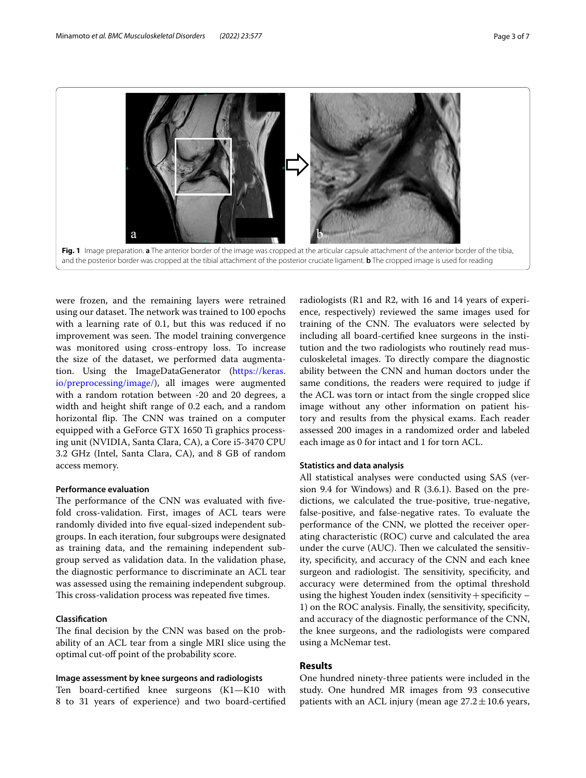

<span id="page-2-0"></span>were frozen, and the remaining layers were retrained using our dataset. The network was trained to 100 epochs with a learning rate of 0.1, but this was reduced if no improvement was seen. The model training convergence was monitored using cross-entropy loss. To increase the size of the dataset, we performed data augmentation. Using the ImageDataGenerator [\(https://keras.](https://keras.io/preprocessing/image/) [io/preprocessing/image/\)](https://keras.io/preprocessing/image/), all images were augmented with a random rotation between -20 and 20 degrees, a width and height shift range of 0.2 each, and a random horizontal flip. The CNN was trained on a computer equipped with a GeForce GTX 1650 Ti graphics processing unit (NVIDIA, Santa Clara, CA), a Core i5-3470 CPU 3.2 GHz (Intel, Santa Clara, CA), and 8 GB of random access memory.

#### **Performance evaluation**

The performance of the CNN was evaluated with fivefold cross-validation. First, images of ACL tears were randomly divided into fve equal-sized independent subgroups. In each iteration, four subgroups were designated as training data, and the remaining independent subgroup served as validation data. In the validation phase, the diagnostic performance to discriminate an ACL tear was assessed using the remaining independent subgroup. This cross-validation process was repeated five times.

## **Classifcation**

The final decision by the CNN was based on the probability of an ACL tear from a single MRI slice using the optimal cut-of point of the probability score.

#### **Image assessment by knee surgeons and radiologists**

Ten board-certifed knee surgeons (K1—K10 with 8 to 31 years of experience) and two board-certifed

radiologists (R1 and R2, with 16 and 14 years of experience, respectively) reviewed the same images used for training of the CNN. The evaluators were selected by including all board-certifed knee surgeons in the institution and the two radiologists who routinely read musculoskeletal images. To directly compare the diagnostic ability between the CNN and human doctors under the same conditions, the readers were required to judge if the ACL was torn or intact from the single cropped slice image without any other information on patient history and results from the physical exams. Each reader assessed 200 images in a randomized order and labeled each image as 0 for intact and 1 for torn ACL.

## **Statistics and data analysis**

All statistical analyses were conducted using SAS (version 9.4 for Windows) and R (3.6.1). Based on the predictions, we calculated the true-positive, true-negative, false-positive, and false-negative rates. To evaluate the performance of the CNN, we plotted the receiver operating characteristic (ROC) curve and calculated the area under the curve (AUC). Then we calculated the sensitivity, specifcity, and accuracy of the CNN and each knee surgeon and radiologist. The sensitivity, specificity, and accuracy were determined from the optimal threshold using the highest Youden index (sensitivity + specificity  $-$ 1) on the ROC analysis. Finally, the sensitivity, specifcity, and accuracy of the diagnostic performance of the CNN, the knee surgeons, and the radiologists were compared using a McNemar test.

## **Results**

One hundred ninety-three patients were included in the study. One hundred MR images from 93 consecutive patients with an ACL injury (mean age  $27.2 \pm 10.6$  years,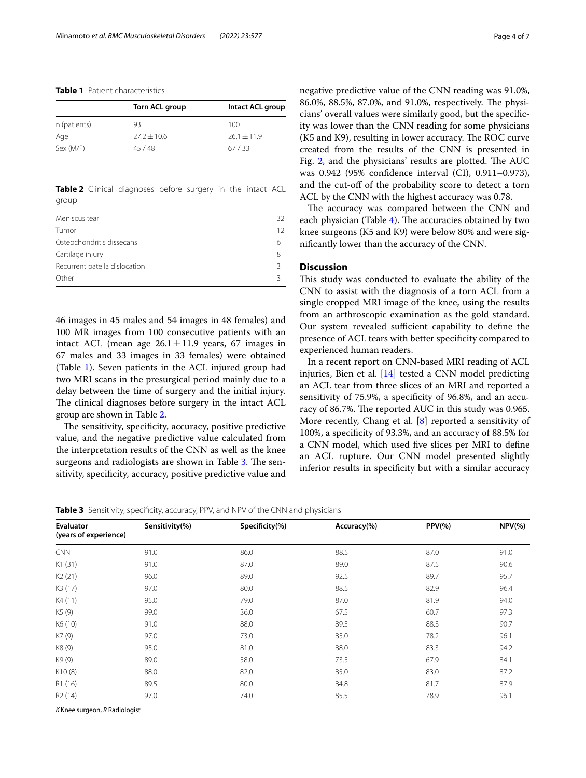## <span id="page-3-0"></span>**Table 1** Patient characteristics

| Torn ACL group  | Intact ACL group |  |
|-----------------|------------------|--|
| 93              | 100              |  |
| $77.2 \pm 10.6$ | $26.1 \pm 11.9$  |  |
| 45/48           | 67/33            |  |
|                 |                  |  |

<span id="page-3-1"></span>**Table 2** Clinical diagnoses before surgery in the intact ACL group

| Meniscus tear                 | 32 |
|-------------------------------|----|
| Tumor                         | 12 |
| Osteochondritis dissecans     | 6  |
| Cartilage injury              | 8  |
| Recurrent patella dislocation |    |
| Other                         |    |

46 images in 45 males and 54 images in 48 females) and 100 MR images from 100 consecutive patients with an intact ACL (mean age  $26.1 \pm 11.9$  years, 67 images in 67 males and 33 images in 33 females) were obtained (Table [1\)](#page-3-0). Seven patients in the ACL injured group had two MRI scans in the presurgical period mainly due to a delay between the time of surgery and the initial injury. The clinical diagnoses before surgery in the intact ACL group are shown in Table [2](#page-3-1).

The sensitivity, specificity, accuracy, positive predictive value, and the negative predictive value calculated from the interpretation results of the CNN as well as the knee surgeons and radiologists are shown in Table [3.](#page-3-2) The sensitivity, specifcity, accuracy, positive predictive value and negative predictive value of the CNN reading was 91.0%, 86.0%, 88.5%, 87.0%, and 91.0%, respectively. The physicians' overall values were similarly good, but the specifcity was lower than the CNN reading for some physicians  $(K5$  and  $K9$ ), resulting in lower accuracy. The ROC curve created from the results of the CNN is presented in Fig. [2](#page-4-0), and the physicians' results are plotted. The AUC was 0.942 (95% confdence interval (CI), 0.911–0.973), and the cut-off of the probability score to detect a torn ACL by the CNN with the highest accuracy was 0.78.

The accuracy was compared between the CNN and each physician (Table [4\)](#page-4-1). The accuracies obtained by two knee surgeons (K5 and K9) were below 80% and were signifcantly lower than the accuracy of the CNN.

## **Discussion**

This study was conducted to evaluate the ability of the CNN to assist with the diagnosis of a torn ACL from a single cropped MRI image of the knee, using the results from an arthroscopic examination as the gold standard. Our system revealed sufficient capability to define the presence of ACL tears with better specifcity compared to experienced human readers.

In a recent report on CNN-based MRI reading of ACL injuries, Bien et al. [[14\]](#page-5-12) tested a CNN model predicting an ACL tear from three slices of an MRI and reported a sensitivity of 75.9%, a specifcity of 96.8%, and an accuracy of 86.7%. The reported AUC in this study was 0.965. More recently, Chang et al.  $[8]$  $[8]$  reported a sensitivity of 100%, a specifcity of 93.3%, and an accuracy of 88.5% for a CNN model, which used fve slices per MRI to defne an ACL rupture. Our CNN model presented slightly inferior results in specificity but with a similar accuracy

<span id="page-3-2"></span>**Table 3** Sensitivity, specificity, accuracy, PPV, and NPV of the CNN and physicians

| Evaluator<br>(years of experience) | Sensitivity(%) | Specificity(%) | Accuracy(%) | $PPV(\% )$ | $NPV$ (%) |
|------------------------------------|----------------|----------------|-------------|------------|-----------|
| <b>CNN</b>                         | 91.0           | 86.0           | 88.5        | 87.0       | 91.0      |
| K1(31)                             | 91.0           | 87.0           | 89.0        | 87.5       | 90.6      |
| K <sub>2</sub> (21)                | 96.0           | 89.0           | 92.5        | 89.7       | 95.7      |
| K3 (17)                            | 97.0           | 80.0           | 88.5        | 82.9       | 96.4      |
| K4 (11)                            | 95.0           | 79.0           | 87.0        | 81.9       | 94.0      |
| K5 (9)                             | 99.0           | 36.0           | 67.5        | 60.7       | 97.3      |
| K6 (10)                            | 91.0           | 88.0           | 89.5        | 88.3       | 90.7      |
| K7 (9)                             | 97.0           | 73.0           | 85.0        | 78.2       | 96.1      |
| K8 (9)                             | 95.0           | 81.0           | 88.0        | 83.3       | 94.2      |
| K9 (9)                             | 89.0           | 58.0           | 73.5        | 67.9       | 84.1      |
| K10(8)                             | 88.0           | 82.0           | 85.0        | 83.0       | 87.2      |
| R1 (16)                            | 89.5           | 80.0           | 84.8        | 81.7       | 87.9      |
| R <sub>2</sub> (14)                | 97.0           | 74.0           | 85.5        | 78.9       | 96.1      |

*K* Knee surgeon, *R* Radiologist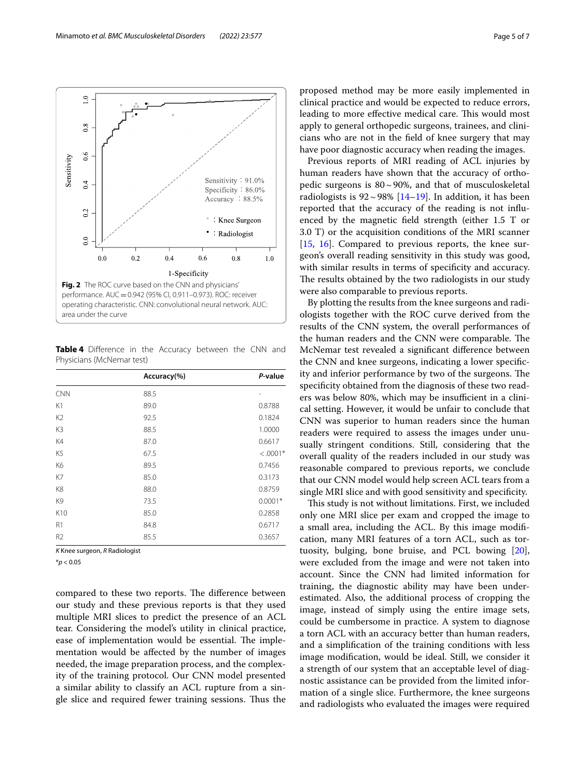

<span id="page-4-1"></span><span id="page-4-0"></span>**Table 4** Diference in the Accuracy between the CNN and Physicians (McNemar test)

|                | Accuracy(%) | P-value        |
|----------------|-------------|----------------|
| <b>CNN</b>     | 88.5        | $\overline{a}$ |
| K1             | 89.0        | 0.8788         |
| K <sub>2</sub> | 92.5        | 0.1824         |
| K3             | 88.5        | 1.0000         |
| K4             | 87.0        | 0.6617         |
| K <sub>5</sub> | 67.5        | $< .0001*$     |
| K6             | 89.5        | 0.7456         |
| K7             | 85.0        | 0.3173         |
| K <sub>8</sub> | 88.0        | 0.8759         |
| K <sub>9</sub> | 73.5        | $0.0001*$      |
| K10            | 85.0        | 0.2858         |
| R1             | 84.8        | 0.6717         |
| R <sub>2</sub> | 85.5        | 0.3657         |

*K* Knee surgeon, *R* Radiologist

\**p* < 0.05

compared to these two reports. The difference between our study and these previous reports is that they used multiple MRI slices to predict the presence of an ACL tear. Considering the model's utility in clinical practice, ease of implementation would be essential. The implementation would be afected by the number of images needed, the image preparation process, and the complexity of the training protocol. Our CNN model presented a similar ability to classify an ACL rupture from a single slice and required fewer training sessions. Thus the proposed method may be more easily implemented in clinical practice and would be expected to reduce errors, leading to more effective medical care. This would most apply to general orthopedic surgeons, trainees, and clinicians who are not in the feld of knee surgery that may have poor diagnostic accuracy when reading the images.

Previous reports of MRI reading of ACL injuries by human readers have shown that the accuracy of orthopedic surgeons is  $80 \sim 90\%$ , and that of musculoskeletal radiologists is  $92 \sim 98\%$  [[14–](#page-5-12)[19](#page-6-0)]. In addition, it has been reported that the accuracy of the reading is not infuenced by the magnetic feld strength (either 1.5 T or 3.0 T) or the acquisition conditions of the MRI scanner [[15,](#page-5-13) [16](#page-5-14)]. Compared to previous reports, the knee surgeon's overall reading sensitivity in this study was good, with similar results in terms of specificity and accuracy. The results obtained by the two radiologists in our study were also comparable to previous reports.

By plotting the results from the knee surgeons and radiologists together with the ROC curve derived from the results of the CNN system, the overall performances of the human readers and the CNN were comparable. The McNemar test revealed a signifcant diference between the CNN and knee surgeons, indicating a lower specifcity and inferior performance by two of the surgeons. The specifcity obtained from the diagnosis of these two readers was below 80%, which may be insufficient in a clinical setting. However, it would be unfair to conclude that CNN was superior to human readers since the human readers were required to assess the images under unusually stringent conditions. Still, considering that the overall quality of the readers included in our study was reasonable compared to previous reports, we conclude that our CNN model would help screen ACL tears from a single MRI slice and with good sensitivity and specifcity.

This study is not without limitations. First, we included only one MRI slice per exam and cropped the image to a small area, including the ACL. By this image modifcation, many MRI features of a torn ACL, such as tortuosity, bulging, bone bruise, and PCL bowing [\[20](#page-6-1)], were excluded from the image and were not taken into account. Since the CNN had limited information for training, the diagnostic ability may have been underestimated. Also, the additional process of cropping the image, instead of simply using the entire image sets, could be cumbersome in practice. A system to diagnose a torn ACL with an accuracy better than human readers, and a simplifcation of the training conditions with less image modifcation, would be ideal. Still, we consider it a strength of our system that an acceptable level of diagnostic assistance can be provided from the limited information of a single slice. Furthermore, the knee surgeons and radiologists who evaluated the images were required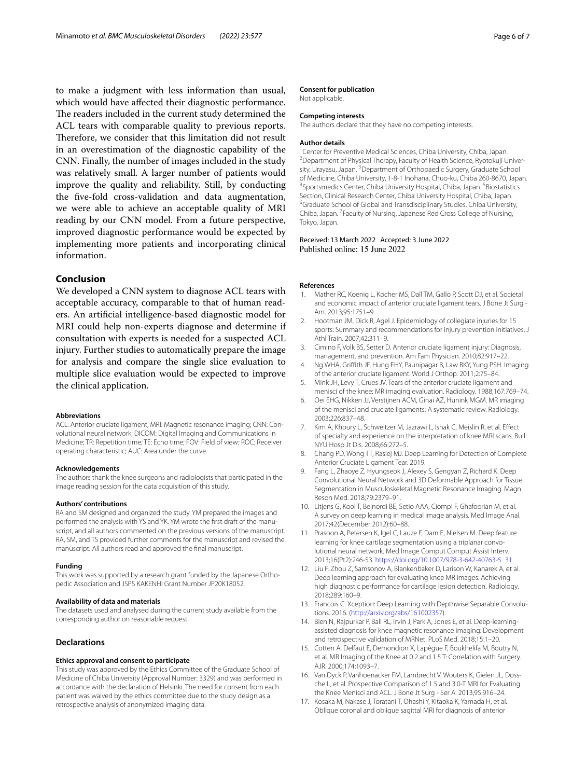to make a judgment with less information than usual, which would have afected their diagnostic performance. The readers included in the current study determined the ACL tears with comparable quality to previous reports. Therefore, we consider that this limitation did not result in an overestimation of the diagnostic capability of the CNN. Finally, the number of images included in the study was relatively small. A larger number of patients would improve the quality and reliability. Still, by conducting the fve-fold cross-validation and data augmentation, we were able to achieve an acceptable quality of MRI reading by our CNN model. From a future perspective, improved diagnostic performance would be expected by implementing more patients and incorporating clinical information.

## **Conclusion**

We developed a CNN system to diagnose ACL tears with acceptable accuracy, comparable to that of human readers. An artifcial intelligence-based diagnostic model for MRI could help non-experts diagnose and determine if consultation with experts is needed for a suspected ACL injury. Further studies to automatically prepare the image for analysis and compare the single slice evaluation to multiple slice evaluation would be expected to improve the clinical application.

#### **Abbreviations**

ACL: Anterior cruciate ligament; MRI: Magnetic resonance imaging; CNN: Convolutional neural network; DICOM: Digital Imaging and Communications in Medicine; TR: Repetition time; TE: Echo time; FOV: Field of view; ROC: Receiver operating characteristic; AUC: Area under the curve.

#### **Acknowledgements**

The authors thank the knee surgeons and radiologists that participated in the image reading session for the data acquisition of this study.

#### **Authors' contributions**

RA and SM designed and organized the study. YM prepared the images and performed the analysis with YS and YK. YM wrote the frst draft of the manuscript, and all authors commented on the previous versions of the manuscript. RA, SM, and TS provided further comments for the manuscript and revised the manuscript. All authors read and approved the fnal manuscript.

#### **Funding**

This work was supported by a research grant funded by the Japanese Orthopedic Association and JSPS KAKENHI Grant Number JP20K18052.

#### **Availability of data and materials**

The datasets used and analysed during the current study available from the corresponding author on reasonable request.

## **Declarations**

#### **Ethics approval and consent to participate**

This study was approved by the Ethics Committee of the Graduate School of Medicine of Chiba University (Approval Number: 3329) and was performed in accordance with the declaration of Helsinki. The need for consent from each patient was waived by the ethics committee due to the study design as a retrospective analysis of anonymized imaging data.

#### **Consent for publication**

Not applicable.

#### **Competing interests**

The authors declare that they have no competing interests.

#### **Author details**

<sup>1</sup> Center for Preventive Medical Sciences, Chiba University, Chiba, Japan.<br><sup>2</sup> Department of Physical Therany, Faculty of Health Science, Byotokuji U <sup>2</sup> Department of Physical Therapy, Faculty of Health Science, Ryotokuji University, Urayasu, Japan.<sup>3</sup> Department of Orthopaedic Surgery, Graduate School of Medicine, Chiba University, 1-8-1 Inohana, Chuo-ku, Chiba 260-8670, Japan. 4 Sportsmedics Center, Chiba University Hospital, Chiba, Japan. <sup>5</sup> Biostatistics Section, Clinical Research Center, Chiba University Hospital, Chiba, Japan. <sup>6</sup>Graduate School of Global and Transdisciplinary Studies, Chiba University, Chiba, Japan.<sup>7</sup> Faculty of Nursing, Japanese Red Cross College of Nursing, Tokyo, Japan.

#### Received: 13 March 2022 Accepted: 3 June 2022 Published online: 15 June 2022

#### **References**

- <span id="page-5-0"></span>1. Mather RC, Koenig L, Kocher MS, Dall TM, Gallo P, Scott DJ, et al. Societal and economic impact of anterior cruciate ligament tears. J Bone Jt Surg - Am. 2013;95:1751–9.
- <span id="page-5-1"></span>2. Hootman JM, Dick R, Agel J. Epidemiology of collegiate injuries for 15 sports: Summary and recommendations for injury prevention initiatives. J Athl Train. 2007;42:311–9.
- <span id="page-5-2"></span>3. Cimino F, Volk BS, Setter D. Anterior cruciate ligament injury: Diagnosis, management, and prevention. Am Fam Physician. 2010;82:917–22.
- <span id="page-5-3"></span>4. Ng WHA, Grifth JF, Hung EHY, Paunipagar B, Law BKY, Yung PSH. Imaging of the anterior cruciate ligament. World J Orthop. 2011;2:75–84.
- <span id="page-5-4"></span>5. Mink JH, Levy T, Crues JV. Tears of the anterior cruciate ligament and menisci of the knee: MR imaging evaluation. Radiology. 1988;167:769–74.
- <span id="page-5-5"></span>6. Oei EHG, Nikken JJ, Verstijnen ACM, Ginai AZ, Hunink MGM. MR imaging of the menisci and cruciate ligaments: A systematic review. Radiology. 2003;226:837–48.
- <span id="page-5-6"></span>7. Kim A, Khoury L, Schweitzer M, Jazrawi L, Ishak C, Meislin R, et al. Efect of specialty and experience on the interpretation of knee MRI scans. Bull NYU Hosp Jt Dis. 2008;66:272–5.
- <span id="page-5-7"></span>8. Chang PD, Wong TT, Rasiej MJ. Deep Learning for Detection of Complete Anterior Cruciate Ligament Tear. 2019.
- <span id="page-5-8"></span>9. Fang L, Zhaoye Z, Hyungseok J, Alexey S, Gengyan Z, Richard K. Deep Convolutional Neural Network and 3D Deformable Approach for Tissue Segmentation in Musculoskeletal Magnetic Resonance Imaging. Magn Reson Med. 2018;79:2379–91.
- <span id="page-5-9"></span>10. Litjens G, Kooi T, Bejnordi BE, Setio AAA, Ciompi F, Ghafoorian M, et al. A survey on deep learning in medical image analysis. Med Image Anal. 2017;42(December 2012):60–88.
- 11. Prasoon A, Petersen K, Igel C, Lauze F, Dam E, Nielsen M. Deep feature learning for knee cartilage segmentation using a triplanar convolutional neural network. Med Image Comput Comput Assist Interv. 2013;16(Pt2):246-53. [https://doi.org/10.1007/978-3-642-40763-5\\_31.](https://doi.org/10.1007/978-3-642-40763-5_31)
- <span id="page-5-10"></span>12. Liu F, Zhou Z, Samsonov A, Blankenbaker D, Larison W, Kanarek A, et al. Deep learning approach for evaluating knee MR images: Achieving high diagnostic performance for cartilage lesion detection. Radiology. 2018;289:160–9.
- <span id="page-5-11"></span>13. Francois C. Xception: Deep Learning with Depthwise Separable Convolutions. 2016. ([http://arxiv.org/abs/161002357\)](http://arxiv.org/abs/161002357).
- <span id="page-5-12"></span>14. Bien N, Rajpurkar P, Ball RL, Irvin J, Park A, Jones E, et al. Deep-learningassisted diagnosis for knee magnetic resonance imaging: Development and retrospective validation of MRNet. PLoS Med. 2018;15:1–20.
- <span id="page-5-13"></span>15. Cotten A, Delfaut E, Demondion X, Lapègue F, Boukhelifa M, Boutry N, et al. MR Imaging of the Knee at 0.2 and 1.5 T: Correlation with Surgery. AJR. 2000;174:1093–7.
- <span id="page-5-14"></span>16. Van Dyck P, Vanhoenacker FM, Lambrecht V, Wouters K, Gielen JL, Dossche L, et al. Prospective Comparison of 1.5 and 3.0-T MRI for Evaluating the Knee Menisci and ACL. J Bone Jt Surg - Ser A. 2013;95:916–24.
- 17. Kosaka M, Nakase J, Toratani T, Ohashi Y, Kitaoka K, Yamada H, et al. Oblique coronal and oblique sagittal MRI for diagnosis of anterior